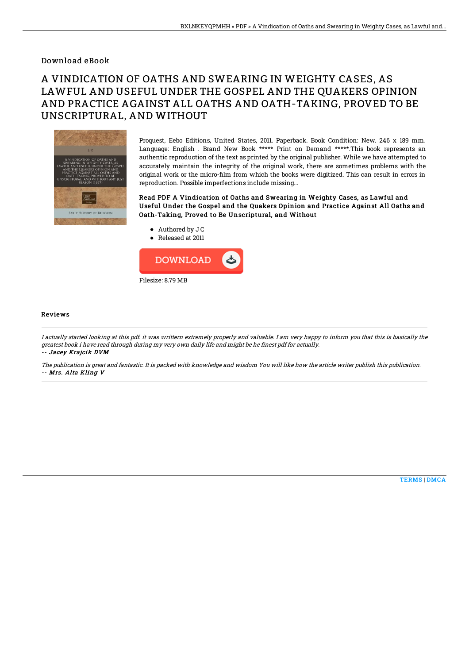## Download eBook

## A VINDICATION OF OATHS AND SWEARING IN WEIGHTY CASES, AS LAWFUL AND USEFUL UNDER THE GOSPEL AND THE QUAKERS OPINION AND PRACTICE AGAINST ALL OATHS AND OATH-TAKING, PROVED TO BE UNSCRIPTURAL, AND WITHOUT



Proquest, Eebo Editions, United States, 2011. Paperback. Book Condition: New. 246 x 189 mm. Language: English . Brand New Book \*\*\*\*\* Print on Demand \*\*\*\*\*.This book represents an authentic reproduction of the text as printed by the original publisher. While we have attempted to accurately maintain the integrity of the original work, there are sometimes problems with the original work or the micro-film from which the books were digitized. This can result in errors in reproduction. Possible imperfections include missing...

Read PDF A Vindication of Oaths and Swearing in Weighty Cases, as Lawful and Useful Under the Gospel and the Quakers Opinion and Practice Against All Oaths and Oath-Taking, Proved to Be Unscriptural, and Without

- Authored by J C
- Released at 2011



## Reviews

I actually started looking at this pdf. it was writtern extremely properly and valuable. I am very happy to inform you that this is basically the greatest book i have read through during my very own daily life and might be he finest pdf for actually. -- Jacey Krajcik DVM

The publication is great and fantastic. It is packed with knowledge and wisdom You will like how the article writer publish this publication. -- Mrs. Alta Kling V